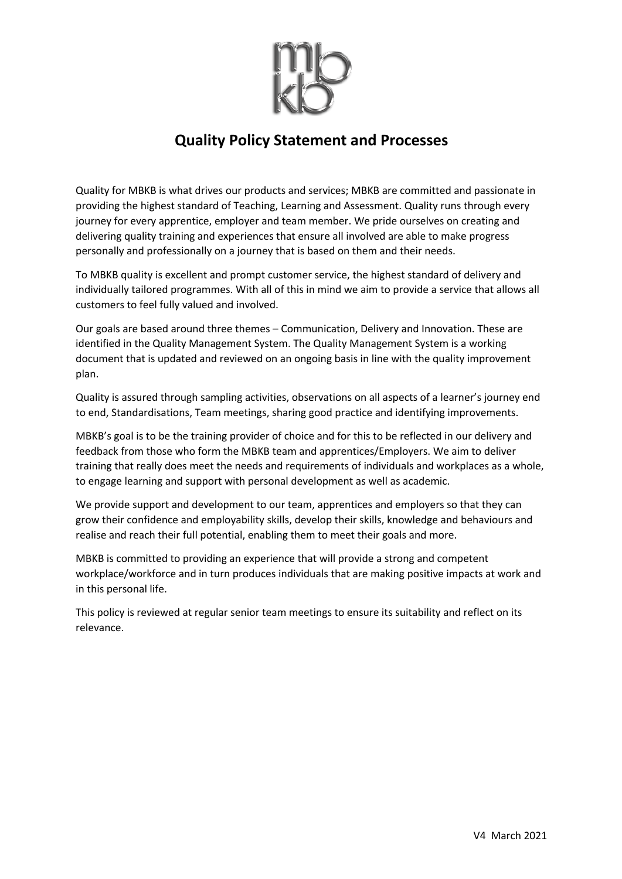

#### **Quality Policy Statement and Processes**

Quality for MBKB is what drives our products and services; MBKB are committed and passionate in providing the highest standard of Teaching, Learning and Assessment. Quality runs through every journey for every apprentice, employer and team member. We pride ourselves on creating and delivering quality training and experiences that ensure all involved are able to make progress personally and professionally on a journey that is based on them and their needs.

To MBKB quality is excellent and prompt customer service, the highest standard of delivery and individually tailored programmes. With all of this in mind we aim to provide a service that allows all customers to feel fully valued and involved.

Our goals are based around three themes – Communication, Delivery and Innovation. These are identified in the Quality Management System. The Quality Management System is a working document that is updated and reviewed on an ongoing basis in line with the quality improvement plan.

Quality is assured through sampling activities, observations on all aspects of a learner's journey end to end, Standardisations, Team meetings, sharing good practice and identifying improvements.

MBKB's goal is to be the training provider of choice and for this to be reflected in our delivery and feedback from those who form the MBKB team and apprentices/Employers. We aim to deliver training that really does meet the needs and requirements of individuals and workplaces as a whole, to engage learning and support with personal development as well as academic.

We provide support and development to our team, apprentices and employers so that they can grow their confidence and employability skills, develop their skills, knowledge and behaviours and realise and reach their full potential, enabling them to meet their goals and more.

MBKB is committed to providing an experience that will provide a strong and competent workplace/workforce and in turn produces individuals that are making positive impacts at work and in this personal life.

This policy is reviewed at regular senior team meetings to ensure its suitability and reflect on its relevance.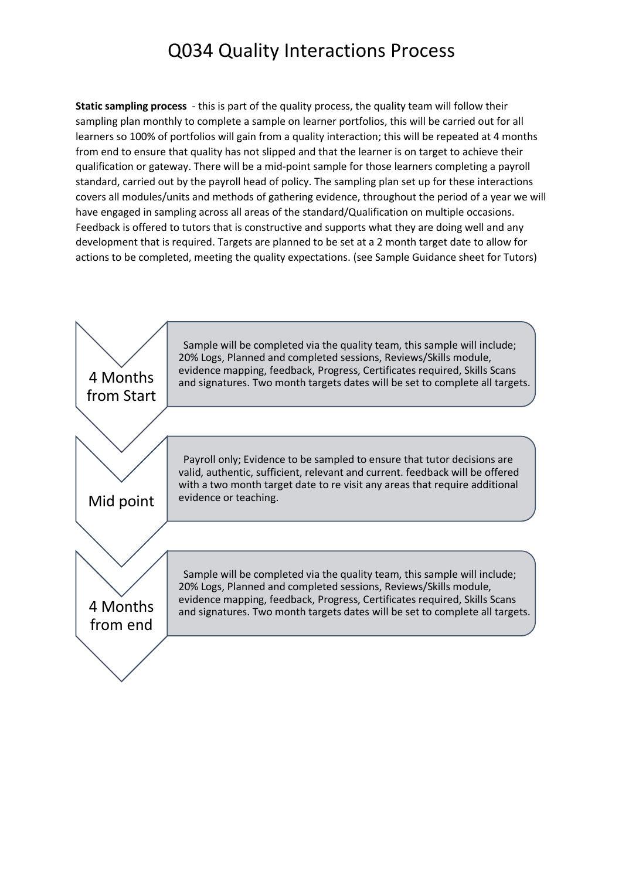### Q034 Quality Interactions Process

**Static sampling process** - this is part of the quality process, the quality team will follow their sampling plan monthly to complete a sample on learner portfolios, this will be carried out for all learners so 100% of portfolios will gain from a quality interaction; this will be repeated at 4 months from end to ensure that quality has not slipped and that the learner is on target to achieve their qualification or gateway. There will be a mid-point sample for those learners completing a payroll standard, carried out by the payroll head of policy. The sampling plan set up for these interactions covers all modules/units and methods of gathering evidence, throughout the period of a year we will have engaged in sampling across all areas of the standard/Qualification on multiple occasions. Feedback is offered to tutors that is constructive and supports what they are doing well and any development that is required. Targets are planned to be set at a 2 month target date to allow for actions to be completed, meeting the quality expectations. (see Sample Guidance sheet for Tutors)

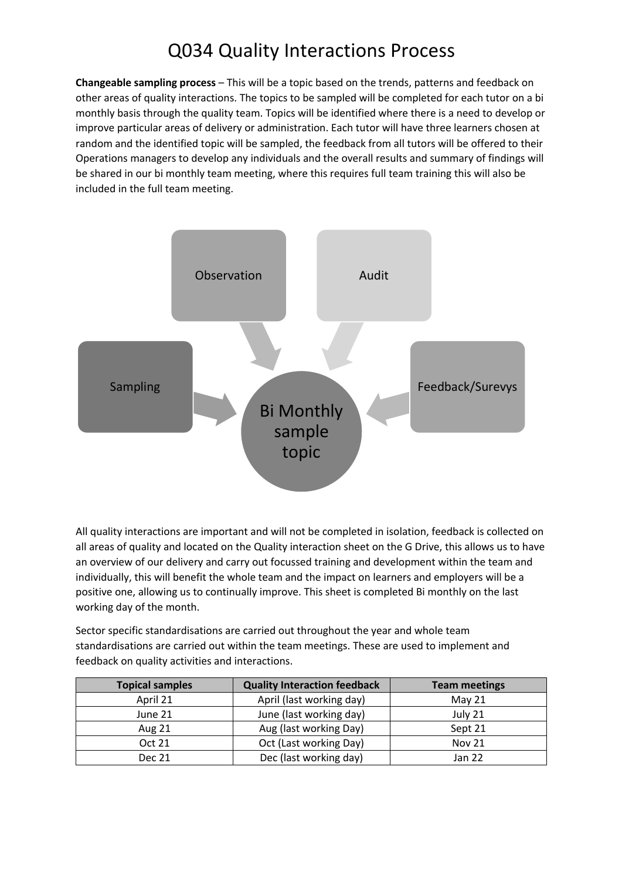## Q034 Quality Interactions Process

**Changeable sampling process** – This will be a topic based on the trends, patterns and feedback on other areas of quality interactions. The topics to be sampled will be completed for each tutor on a bi monthly basis through the quality team. Topics will be identified where there is a need to develop or improve particular areas of delivery or administration. Each tutor will have three learners chosen at random and the identified topic will be sampled, the feedback from all tutors will be offered to their Operations managers to develop any individuals and the overall results and summary of findings will be shared in our bi monthly team meeting, where this requires full team training this will also be included in the full team meeting.



All quality interactions are important and will not be completed in isolation, feedback is collected on all areas of quality and located on the Quality interaction sheet on the G Drive, this allows us to have an overview of our delivery and carry out focussed training and development within the team and individually, this will benefit the whole team and the impact on learners and employers will be a positive one, allowing us to continually improve. This sheet is completed Bi monthly on the last working day of the month.

Sector specific standardisations are carried out throughout the year and whole team standardisations are carried out within the team meetings. These are used to implement and feedback on quality activities and interactions.

| <b>Topical samples</b> | <b>Quality Interaction feedback</b> | <b>Team meetings</b> |
|------------------------|-------------------------------------|----------------------|
| April 21               | April (last working day)            | May $21$             |
| June 21                | June (last working day)             | July 21              |
| <b>Aug 21</b>          | Aug (last working Day)              | Sept 21              |
| <b>Oct 21</b>          | Oct (Last working Day)              | <b>Nov 21</b>        |
| <b>Dec 21</b>          | Dec (last working day)              | Jan 22               |